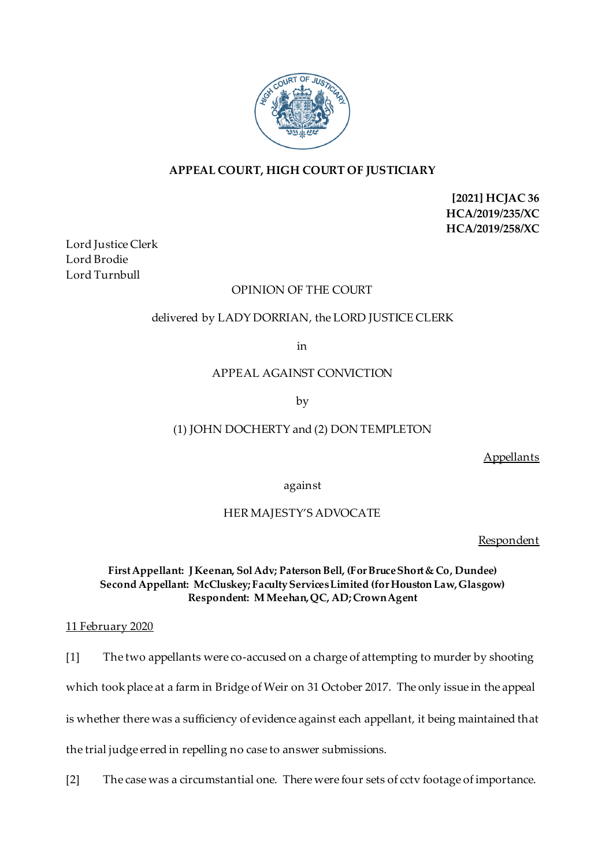

# **APPEAL COURT, HIGH COURT OF JUSTICIARY**

**[2021] HCJAC 36 HCA/2019/235/XC HCA/2019/258/XC**

Lord Justice Clerk Lord Brodie Lord Turnbull

# OPINION OF THE COURT

# delivered by LADY DORRIAN, the LORD JUSTICE CLERK

in

### APPEAL AGAINST CONVICTION

by

# (1) JOHN DOCHERTY and (2) DON TEMPLETON

Appellants

against

## HER MAJESTY'S ADVOCATE

**Respondent** 

### **First Appellant: J Keenan, Sol Adv; Paterson Bell, (For Bruce Short & Co, Dundee) Second Appellant: McCluskey; Faculty Services Limited (for Houston Law, Glasgow) Respondent: M Meehan, QC, AD; Crown Agent**

### 11 February 2020

[1] The two appellants were co-accused on a charge of attempting to murder by shooting

which took place at a farm in Bridge of Weir on 31 October 2017. The only issue in the appeal

is whether there was a sufficiency of evidence against each appellant, it being maintained that

the trial judge erred in repelling no case to answer submissions.

[2] The case was a circumstantial one. There were four sets of cctv footage of importance.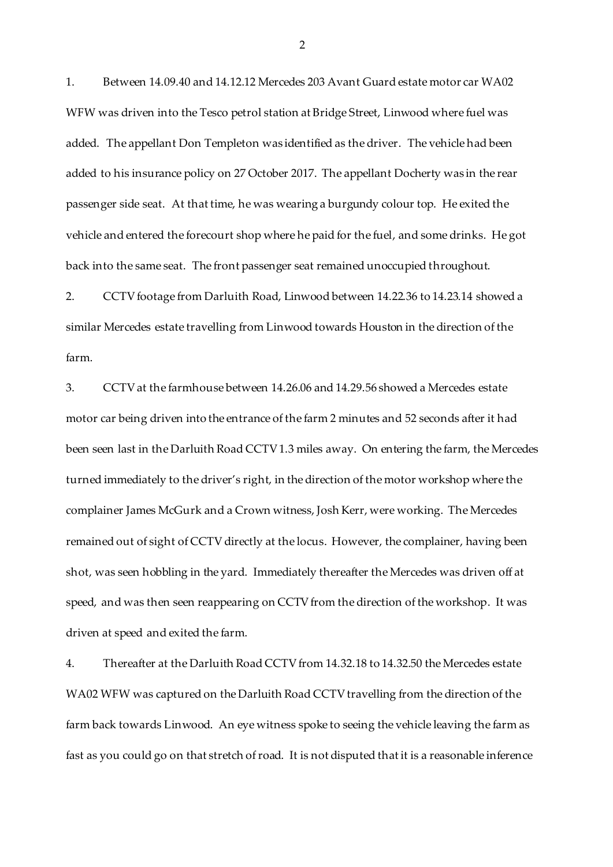1. Between 14.09.40 and 14.12.12 Mercedes 203 Avant Guard estate motor car WA02 WFW was driven into the Tesco petrol station at Bridge Street, Linwood where fuel was added. The appellant Don Templeton was identified as the driver. The vehicle had been added to his insurance policy on 27 October 2017. The appellant Docherty was in the rear passenger side seat. At that time, he was wearing a burgundy colour top. He exited the vehicle and entered the forecourt shop where he paid for the fuel, and some drinks. He got back into the same seat. The front passenger seat remained unoccupied throughout.

2. CCTV footage from Darluith Road, Linwood between 14.22.36 to 14.23.14 showed a similar Mercedes estate travelling from Linwood towards Houston in the direction of the farm.

3. CCTVat the farmhouse between 14.26.06 and 14.29.56 showed a Mercedes estate motor car being driven into the entrance of the farm 2 minutes and 52 seconds after it had been seen last in the Darluith Road CCTV 1.3 miles away. On entering the farm, the Mercedes turned immediately to the driver's right, in the direction of the motor workshop where the complainer James McGurk and a Crown witness, Josh Kerr, were working. The Mercedes remained out of sight of CCTV directly at the locus. However, the complainer, having been shot, was seen hobbling in the yard. Immediately thereafter the Mercedes was driven off at speed, and was then seen reappearing on CCTV from the direction of the workshop. It was driven at speed and exited the farm.

4. Thereafter at the Darluith Road CCTV from 14.32.18 to 14.32.50 the Mercedes estate WA02 WFW was captured on the Darluith Road CCTV travelling from the direction of the farm back towards Linwood. An eye witness spoke to seeing the vehicle leaving the farm as fast as you could go on that stretch of road. It is not disputed that it is a reasonable inference

2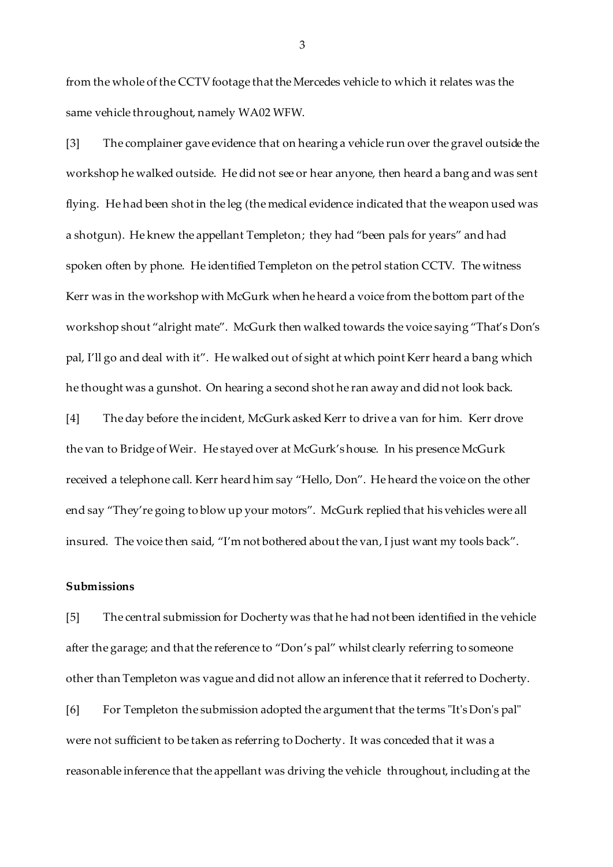from the whole of the CCTV footage that the Mercedes vehicle to which it relates was the same vehicle throughout, namely WA02 WFW.

[3] The complainer gave evidence that on hearing a vehicle run over the gravel outside the workshop he walked outside. He did not see or hear anyone, then heard a bang and was sent flying. He had been shot in the leg (the medical evidence indicated that the weapon used was a shotgun). He knew the appellant Templeton; they had "been pals for years" and had spoken often by phone. He identified Templeton on the petrol station CCTV. The witness Kerr was in the workshop with McGurk when he heard a voice from the bottom part of the workshop shout "alright mate". McGurk then walked towards the voice saying "That's Don's pal, I'll go and deal with it". He walked out of sight at which point Kerr heard a bang which he thought was a gunshot. On hearing a second shot he ran away and did not look back.

[4] The day before the incident, McGurk asked Kerr to drive a van for him. Kerr drove the van to Bridge of Weir. He stayed over at McGurk's house. In his presence McGurk received a telephone call. Kerr heard him say "Hello, Don". He heard the voice on the other end say "They're going to blow up your motors". McGurk replied that his vehicles were all insured. The voice then said, "I'm not bothered about the van, I just want my tools back".

#### **Submissions**

[5] The central submission for Docherty was that he had not been identified in the vehicle after the garage; and that the reference to "Don's pal" whilst clearly referring to someone other than Templeton was vague and did not allow an inference that it referred to Docherty.

[6] For Templeton the submission adopted the argument that the terms "It's Don's pal" were not sufficient to be taken as referring to Docherty. It was conceded that it was a reasonable inference that the appellant was driving the vehicle throughout, including at the

3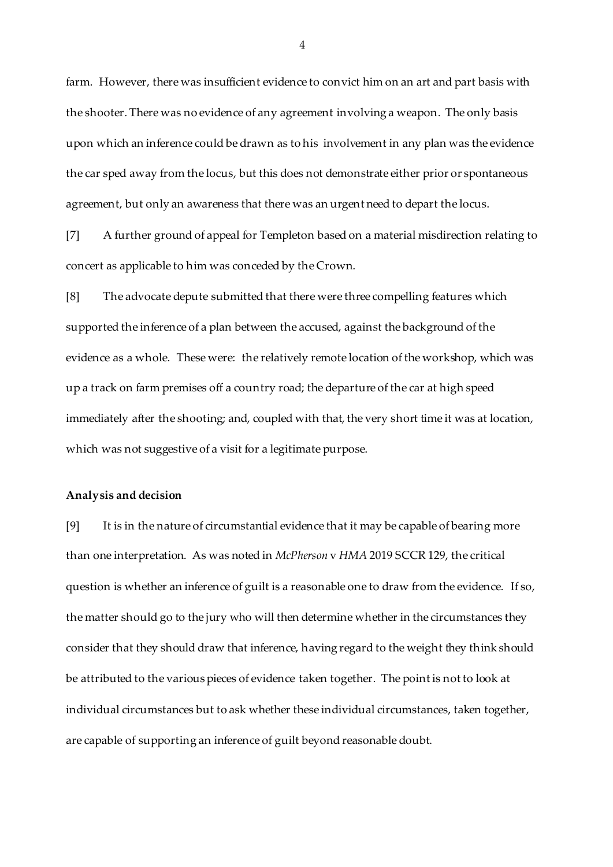farm. However, there was insufficient evidence to convict him on an art and part basis with the shooter. There was no evidence of any agreement involving a weapon. The only basis upon which an inference could be drawn as to his involvement in any plan was the evidence the car sped away from the locus, but this does not demonstrate either prior or spontaneous agreement, but only an awareness that there was an urgent need to depart the locus.

[7] A further ground of appeal for Templeton based on a material misdirection relating to concert as applicable to him was conceded by the Crown.

[8] The advocate depute submitted that there were three compelling features which supported the inference of a plan between the accused, against the background of the evidence as a whole. These were: the relatively remote location of the workshop, which was up a track on farm premises off a country road; the departure of the car at high speed immediately after the shooting; and, coupled with that, the very short time it was at location, which was not suggestive of a visit for a legitimate purpose.

#### **Analysis and decision**

[9] It is in the nature of circumstantial evidence that it may be capable of bearing more than one interpretation. As was noted in *McPherson* v *HMA* 2019 SCCR 129, the critical question is whether an inference of guilt is a reasonable one to draw from the evidence. If so, the matter should go to the jury who will then determine whether in the circumstances they consider that they should draw that inference, having regard to the weight they think should be attributed to the various pieces of evidence taken together. The point is not to look at individual circumstances but to ask whether these individual circumstances, taken together, are capable of supporting an inference of guilt beyond reasonable doubt.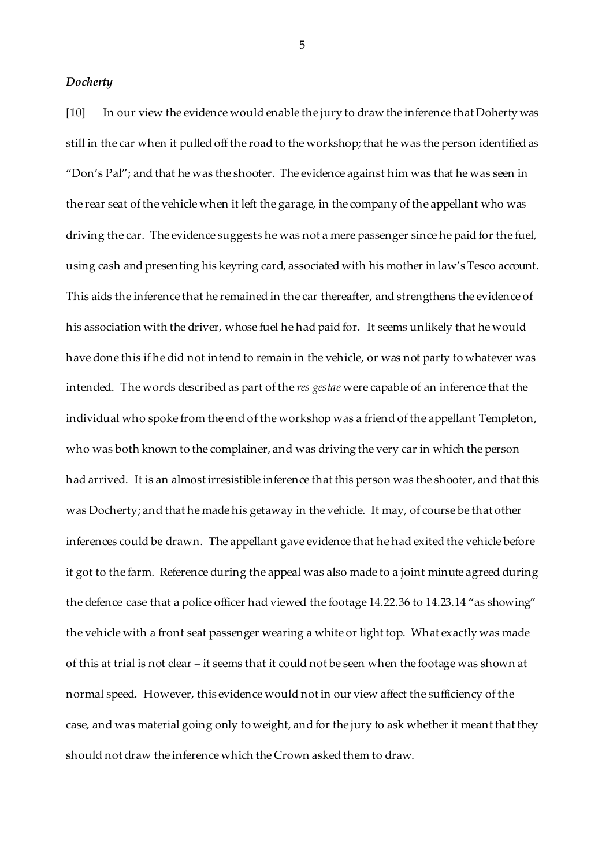#### *Docherty*

[10] In our view the evidence would enable the jury to draw the inference that Doherty was still in the car when it pulled off the road to the workshop; that he was the person identified as "Don's Pal"; and that he was the shooter. The evidence against him was that he was seen in the rear seat of the vehicle when it left the garage, in the company of the appellant who was driving the car. The evidence suggests he was not a mere passenger since he paid for the fuel, using cash and presenting his keyring card, associated with his mother in law's Tesco account. This aids the inference that he remained in the car thereafter, and strengthens the evidence of his association with the driver, whose fuel he had paid for. It seems unlikely that he would have done this if he did not intend to remain in the vehicle, or was not party to whatever was intended. The words described as part of the *res gestae* were capable of an inference that the individual who spoke from the end of the workshop was a friend of the appellant Templeton, who was both known to the complainer, and was driving the very car in which the person had arrived. It is an almost irresistible inference that this person was the shooter, and that this was Docherty; and that he made his getaway in the vehicle. It may, of course be that other inferences could be drawn. The appellant gave evidence that he had exited the vehicle before it got to the farm. Reference during the appeal was also made to a joint minute agreed during the defence case that a police officer had viewed the footage 14.22.36 to 14.23.14 "as showing" the vehicle with a front seat passenger wearing a white or light top. What exactly was made of this at trial is not clear – it seems that it could not be seen when the footage was shown at normal speed. However, this evidence would not in our view affect the sufficiency of the case, and was material going only to weight, and for the jury to ask whether it meant that they should not draw the inference which the Crown asked them to draw.